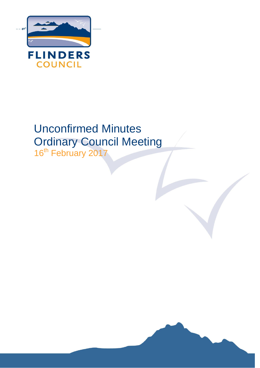

# Unconfirmed Minutes Ordinary Council Meeting

16<sup>th</sup> February 2017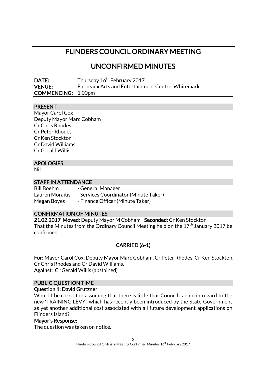# FLINDERS COUNCIL ORDINARY MEETING

# UNCONFIRMED MINUTES

| DATE:                     | Thursday 16 <sup>th</sup> February 2017                  |
|---------------------------|----------------------------------------------------------|
| <b>VENUE:</b>             | <b>Furneaux Arts and Entertainment Centre, Whitemark</b> |
| <b>COMMENCING: 1.00pm</b> |                                                          |

### PRESENT

Mayor Carol Cox Deputy Mayor Marc Cobham Cr Chris Rhodes Cr Peter Rhodes Cr Ken Stockton Cr David Williams Cr Gerald Willis

### APOLOGIES

Nil

### STAFF IN ATTENDANCE

Bill Boehm - General Manager Lauren Moraitis - Services Coordinator (Minute Taker) Megan Boyes - Finance Officer (Minute Taker)

### CONFIRMATION OF MINUTES

21.02.2017 Moved: Deputy Mayor M Cobham Seconded: Cr Ken Stockton That the Minutes from the Ordinary Council Meeting held on the  $17^{\text{th}}$  January 2017 be confirmed.

### CARRIED (6-1)

For: Mayor Carol Cox, Deputy Mayor Marc Cobham, Cr Peter Rhodes, Cr Ken Stockton, Cr Chris Rhodes and Cr David Williams. Against: Cr Gerald Willis (abstained)

### PUBLIC QUESTION TIME

### Question 1: David Grutzner

Would I be correct in assuming that there is little that Council can do in regard to the new 'TRAINING LEVY" which has recently been introduced by the State Government as yet another additional cost associated with all future development applications on Flinders Island?

### Mayor's Response:

The question was taken on notice.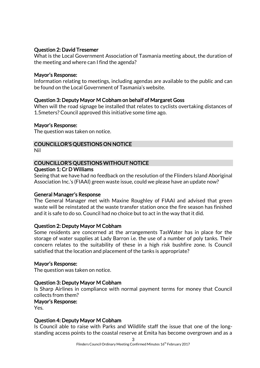### Question 2: David Tresemer

What is the Local Government Association of Tasmania meeting about, the duration of the meeting and where can I find the agenda?

### Mayor's Response:

Information relating to meetings, including agendas are available to the public and can be found on the Local Government of Tasmania's website.

### Question 3: Deputy Mayor M Cobham on behalf of Margaret Goss

When will the road signage be installed that relates to cyclists overtaking distances of 1.5meters? Council approved this initiative some time ago.

### Mayor's Response:

The question was taken on notice.

### COUNCILLOR'S QUESTIONS ON NOTICE

Nil

#### COUNCILLOR'S QUESTIONS WITHOUT NOTICE Question 1: Cr D Williams

Seeing that we have had no feedback on the resolution of the Flinders Island Aboriginal Association Inc.'s (FIAAI) green waste issue, could we please have an update now?

### General Manager's Response

The General Manager met with Maxine Roughley of FIAAI and advised that green waste will be reinstated at the waste transfer station once the fire season has finished and it is safe to do so. Council had no choice but to act in the way that it did.

### Question 2: Deputy Mayor M Cobham

Some residents are concerned at the arrangements TasWater has in place for the storage of water supplies at Lady Barron i.e. the use of a number of poly tanks. Their concern relates to the suitability of these in a high risk bushfire zone. Is Council satisfied that the location and placement of the tanks is appropriate?

### Mayor's Response:

The question was taken on notice.

### Question 3: Deputy Mayor M Cobham

Is Sharp Airlines in compliance with normal payment terms for money that Council collects from them?

### Mayor's Response:

Yes.

### Question 4: Deputy Mayor M Cobham

Is Council able to raise with Parks and Wildlife staff the issue that one of the longstanding access points to the coastal reserve at Emita has become overgrown and as a

3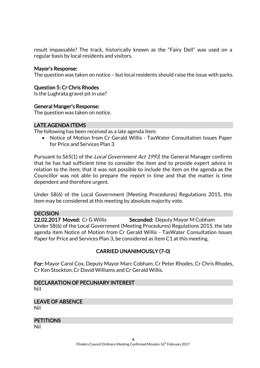result impassable? The track, historically known as the "Fairy Dell" was used on a regular basis by local residents and visitors.

### Mayor's Response:

The question was taken on notice – but local residents should raise the issue with parks.

### Question 5: Cr Chris Rhodes

Is the Lughrata gravel pit in use?

#### General Manger's Response:

The question was taken on notice.

#### LATE AGENDA ITEMS

The following has been received as a late agenda item:

• Notice of Motion from Cr Gerald Willis - TasWater Consultation Issues Paper for Price and Services Plan 3

Pursuant to S65(1) of the *Local Government Act 1993*, the General Manager confirms that he has had sufficient time to consider the item and to provide expert advice in relation to the item; that it was not possible to include the item on the agenda as the Councillor was not able to prepare the report in time and that the matter is time dependent and therefore urgent.

Under S8(6) of the Local Government (Meeting Procedures) Regulations 2015, this item may be considered at this meeting by absolute majority vote.

### **DECISION**

22.02.2017 Moved: Cr G Willis Seconded: Deputy Mayor M Cobham Under S8(6) of the Local Government (Meeting Procedures) Regulations 2015, the late agenda item Notice of Motion from Cr Gerald Willis - TasWater Consultation Issues Paper for Price and Services Plan 3, be considered as Item C1 at this meeting.

### CARRIED UNANIMOUSLY (7-0)

For: Mayor Carol Cox, Deputy Mayor Marc Cobham, Cr Peter Rhodes, Cr Chris Rhodes, Cr Ken Stockton, Cr David Williams and Cr Gerald Willis.

### DECLARATION OF PECUNIARY INTEREST

Nil

# LEAVE OF ABSENCE

Nil

#### **PETITIONS**

Nil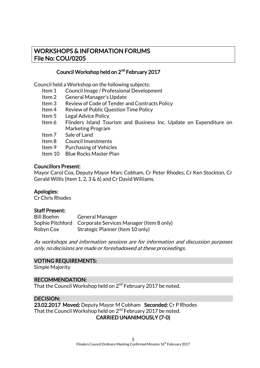### WORKSHOPS & INFORMATION FORUMS File No: COU/0205

### Council Workshop held on 2<sup>nd</sup> February 2017

Council held a Workshop on the following subjects:

- Item 1 Council Image / Professional Development
- Item 2 General Manager's Update
- Item 3 Review of Code of Tender and Contracts Policy
- Item 4 Review of Public Question Time Policy
- Item 5 Legal Advice Policy
- Item 6 Flinders Island Tourism and Business Inc. Update on Expenditure on Marketing Program
- Item 7 Sale of Land
- Item 8 Council Investments
- Item 9 Purchasing of Vehicles
- Item 10 Blue Rocks Master Plan

#### Councillors Present:

Mayor Carol Cox, Deputy Mayor Marc Cobham, Cr Peter Rhodes, Cr Ken Stockton, Cr Gerald Willis (Item 1, 2, 3 & 6) and Cr David Williams.

### Apologies:

Cr Chris Rhodes

### Staff Present:

| <b>Bill Boehm</b> | <b>General Manager</b>                                    |
|-------------------|-----------------------------------------------------------|
|                   | Sophie Pitchford Corporate Services Manager (Item 8 only) |
| Robyn Cox         | Strategic Planner (Item 10 only)                          |

As workshops and information sessions are for information and discussion purposes only, no decisions are made or foreshadowed at these proceedings.

### VOTING REQUIREMENTS:

Simple Majority

### RECOMMENDATION:

That the Council Workshop held on 2<sup>nd</sup> February 2017 be noted.

### DECISION:

23.02.2017 Moved: Deputy Mayor M Cobham Seconded: Cr P Rhodes That the Council Workshop held on 2<sup>nd</sup> February 2017 be noted.

### CARRIED UNANIMOUSLY (7-0)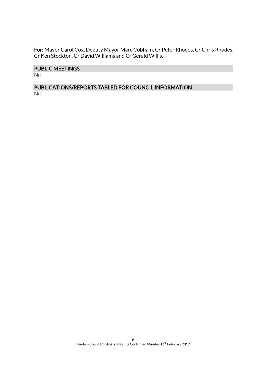For: Mayor Carol Cox, Deputy Mayor Marc Cobham, Cr Peter Rhodes, Cr Chris Rhodes, Cr Ken Stockton, Cr David Williams and Cr Gerald Willis.

### PUBLIC MEETINGS

Nil

### PUBLICATIONS/REPORTS TABLED FOR COUNCIL INFORMATION Nil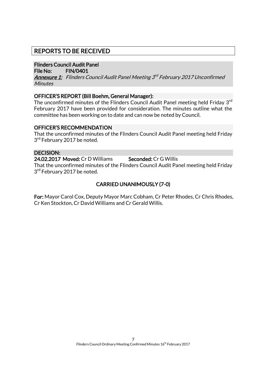### REPORTS TO BE RECEIVED

### Flinders Council Audit Panel

File No: FIN/0401

**<u>Annexure 1:</u> Flinders Council Audit Panel Meeting 3<sup>rd</sup> February 2017 Unconfirmed Minutes** 

### OFFICER'S REPORT (Bill Boehm, General Manager):

The unconfirmed minutes of the Flinders Council Audit Panel meeting held Friday 3<sup>rd</sup> February 2017 have been provided for consideration. The minutes outline what the committee has been working on to date and can now be noted by Council.

### OFFICER'S RECOMMENDATION

That the unconfirmed minutes of the Flinders Council Audit Panel meeting held Friday 3<sup>rd</sup> February 2017 be noted.

### DECISION:

24.02.2017 Moved: Cr D Williams Seconded: Cr G Willis That the unconfirmed minutes of the Flinders Council Audit Panel meeting held Friday 3<sup>rd</sup> February 2017 be noted.

### CARRIED UNANIMOUSLY (7-0)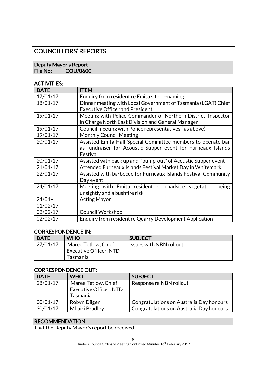# COUNCILLORS' REPORTS

### Deputy Mayor's Report<br>File No: COU/060 COU/0600

### ACTIVITIES:

| <b>DATE</b> | <b>ITEM</b>                                                    |
|-------------|----------------------------------------------------------------|
| 17/01/17    | Enquiry from resident re Emita site re-naming                  |
| 18/01/17    | Dinner meeting with Local Government of Tasmania (LGAT) Chief  |
|             | <b>Executive Officer and President</b>                         |
| 19/01/17    | Meeting with Police Commander of Northern District, Inspector  |
|             | in Charge North East Division and General Manager              |
| 19/01/17    | Council meeting with Police representatives (as above)         |
| 19/01/17    | <b>Monthly Council Meeting</b>                                 |
| 20/01/17    | Assisted Emita Hall Special Committee members to operate bar   |
|             | as fundraiser for Acoustic Supper event for Furneaux Islands   |
|             | Festival                                                       |
| 20/01/17    | Assisted with pack up and "bump-out" of Acoustic Supper event  |
| 21/01/17    | Attended Furneaux Islands Festival Market Day in Whitemark     |
| 22/01/17    | Assisted with barbecue for Furneaux Islands Festival Community |
|             | Day event                                                      |
| 24/01/17    | Meeting with Emita resident re roadside vegetation<br>being    |
|             | unsightly and a bushfire risk                                  |
| $24/01 -$   | <b>Acting Mayor</b>                                            |
| 01/02/17    |                                                                |
| 02/02/17    | <b>Council Workshop</b>                                        |
| 02/02/17    | Enquiry from resident re Quarry Development Application        |

### CORRESPONDENCE IN:

| <b>DATE</b> | <b>WHO</b>             | <b>SUBJECT</b>          |
|-------------|------------------------|-------------------------|
| 27/01/17    | Maree Tetlow, Chief    | Issues with NBN rollout |
|             | Executive Officer, NTD |                         |
|             | Tasmania               |                         |

### CORRESPONDENCE OUT:

| <b>DATE</b> | <b>WHO</b>                    | <b>SUBJECT</b>                           |
|-------------|-------------------------------|------------------------------------------|
| 28/01/17    | Maree Tetlow, Chief           | Response re NBN rollout                  |
|             | <b>Executive Officer, NTD</b> |                                          |
|             | Tasmania                      |                                          |
| 30/01/17    | Robyn Dilger                  | Congratulations on Australia Day honours |
| 30/01/17    | <b>Mhairi Bradley</b>         | Congratulations on Australia Day honours |

### RECOMMENDATION:

That the Deputy Mayor's report be received.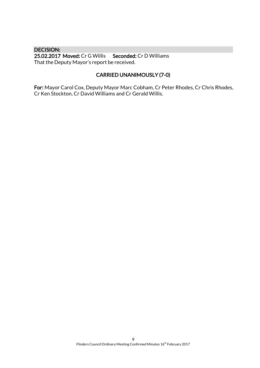### DECISION:

25.02.2017 Moved: Cr G Willis Seconded: Cr D Williams That the Deputy Mayor's report be received.

### CARRIED UNANIMOUSLY (7-0)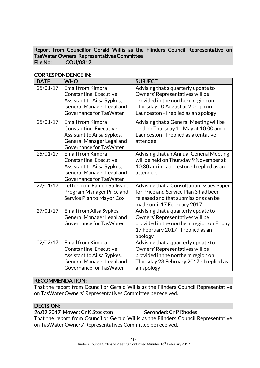### Report from Councillor Gerald Willis as the Flinders Council Representative on TasWater Owners' Representatives Committee File No: COU/0312

| <b>DATE</b> | <b>WHO</b>                                                                                                                                      | <b>SUBJECT</b>                                                                                                                                                                           |
|-------------|-------------------------------------------------------------------------------------------------------------------------------------------------|------------------------------------------------------------------------------------------------------------------------------------------------------------------------------------------|
| 25/01/17    | <b>Email from Kimbra</b><br>Constantine, Executive<br>Assistant to Ailsa Sypkes,<br><b>General Manager Legal and</b><br>Governance for TasWater | Advising that a quarterly update to<br>Owners' Representatives will be<br>provided in the northern region on<br>Thursday 10 August at 2:00 pm in<br>Launceston - I replied as an apology |
| 25/01/17    | Email from Kimbra<br>Constantine, Executive<br>Assistant to Ailsa Sypkes,<br><b>General Manager Legal and</b><br>Governance for TasWater        | Advising that a General Meeting will be<br>held on Thursday 11 May at 10:00 am in<br>Launceston - I replied as a tentative<br>attendee                                                   |
| 25/01/17    | <b>Email from Kimbra</b><br>Constantine, Executive<br>Assistant to Ailsa Sypkes,<br>General Manager Legal and<br>Governance for TasWater        | Advising that an Annual General Meeting<br>will be held on Thursday 9 November at<br>10:30 am in Launceston - I replied as an<br>attendee.                                               |
| 27/01/17    | Letter from Eamon Sullivan,<br>Program Manager Price and<br>Service Plan to Mayor Cox                                                           | Advising that a Consultation Issues Paper<br>for Price and Service Plan 3 had been<br>released and that submissions can be<br>made until 17 February 2017                                |
| 27/01/17    | Email from Ailsa Sypkes,<br><b>General Manager Legal and</b><br>Governance for TasWater                                                         | Advising that a quarterly update to<br>Owners' Representatives will be<br>provided in the northern region on Friday<br>17 February 2017 - I replied as an<br>apology                     |
| 02/02/17    | <b>Email from Kimbra</b><br>Constantine, Executive<br>Assistant to Ailsa Sypkes,<br>General Manager Legal and<br>Governance for TasWater        | Advising that a quarterly update to<br>Owners' Representatives will be<br>provided in the northern region on<br>Thursday 23 February 2017 - I replied as<br>an apology                   |

### CORRESPONDENCE IN:

### RECOMMENDATION:

That the report from Councillor Gerald Willis as the Flinders Council Representative on TasWater Owners' Representatives Committee be received.

### DECISION:

26.02.2017 Moved: Cr K Stockton Seconded: Cr P Rhodes

That the report from Councillor Gerald Willis as the Flinders Council Representative on TasWater Owners' Representatives Committee be received.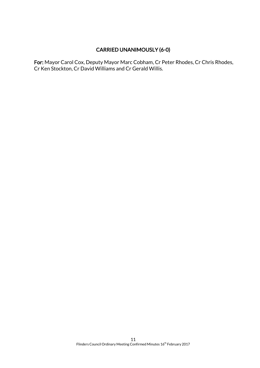### CARRIED UNANIMOUSLY (6-0)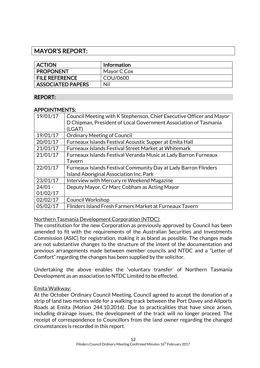### MAYOR'S REPORT:

| <b>ACTION</b>            | <b>Information</b> |
|--------------------------|--------------------|
| <b>PROPONENT</b>         | Mayor C Cox        |
| <b>FILE REFERENCE</b>    | COU/0600           |
| <b>ASSOCIATED PAPERS</b> | Nil                |

### REPORT:

### APPOINTMENTS:

| 19/01/17  | Council Meeting with K Stephenson, Chief Executive Officer and Mayor<br>D Chipman, President of Local Government Association of Tasmania<br>(LGAT) |
|-----------|----------------------------------------------------------------------------------------------------------------------------------------------------|
| 19/01/17  | <b>Ordinary Meeting of Council</b>                                                                                                                 |
| 20/01/17  | Furneaux Islands Festival Acoustic Supper at Emita Hall                                                                                            |
| 21/01/17  | Furneaux Islands Festival Street Market at Whitemark                                                                                               |
| 21/01/17  | Furneaux Islands Festival Veranda Music at Lady Barron Furneaux                                                                                    |
|           | Tavern                                                                                                                                             |
| 22/01/17  | Furneaux Islands Festival Community Day at Lady Barron Flinders                                                                                    |
|           | Island Aboriginal Association Inc. Park                                                                                                            |
| 23/01/17  | Interview with Mercury re Weekend Magazine                                                                                                         |
| $24/01 -$ | Deputy Mayor, Cr Marc Cobham as Acting Mayor                                                                                                       |
| 01/02/17  |                                                                                                                                                    |
| 02/02/17  | Council Workshop                                                                                                                                   |
| 05/02/17  | Flinders Island Fresh Farmers Market at Furneaux Tavern                                                                                            |

Northern Tasmania Development Corporation (NTDC):

The constitution for the new Corporation as previously approved by Council has been amended to fit with the requirements of the Australian Securities and Investments Commission (ASIC) for registration, making it as bland as possible. The changes made are not substantive changes to the structure of the intent of the documentation and previous arrangements made between member councils and NTDC and a "Letter of Comfort" regarding the changes has been supplied by the solicitor.

Undertaking the above enables the 'voluntary transfer' of Northern Tasmania Development as an association to NTDC Limited to be effected.

### Emita Walkway:

At the October Ordinary Council Meeting, Council agreed to accept the donation of a strip of land two metres wide for a walking track between the Port Davey and Allports Roads at Emita (Motion 244.10.2016). Due to practicalities that have since arisen, including drainage issues, the development of the track will no longer proceed. The receipt of correspondence to Councillors from the land owner regarding the changed circumstances is recorded in this report.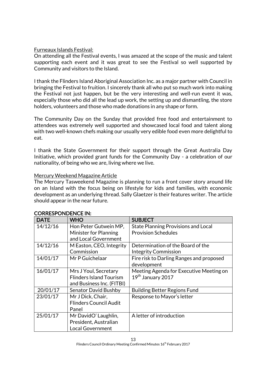### Furneaux Islands Festival:

On attending all the Festival events, I was amazed at the scope of the music and talent supporting each event and it was great to see the Festival so well supported by Community and visitors to the Island.

I thank the Flinders Island Aboriginal Association Inc. as a major partner with Council in bringing the Festival to fruition. I sincerely thank all who put so much work into making the Festival not just happen, but be the very interesting and well-run event it was, especially those who did all the lead up work, the setting up and dismantling, the store holders, volunteers and those who made donations in any shape or form.

The Community Day on the Sunday that provided free food and entertainment to attendees was extremely well supported and showcased local food and talent along with two well-known chefs making our usually very edible food even more delightful to eat.

I thank the State Government for their support through the Great Australia Day Initiative, which provided grant funds for the Community Day - a celebration of our nationality, of being who we are, living where we live.

### Mercury Weekend Magazine Article

The Mercury Tasweekend Magazine is planning to run a front cover story around life on an Island with the focus being on lifestyle for kids and families, with economic development as an underlying thread. Sally Glaetzer is their features writer. The article should appear in the near future.

| <b>DATE</b> | <b>WHO</b>                     | <b>SUBJECT</b>                             |
|-------------|--------------------------------|--------------------------------------------|
| 14/12/16    | Hon Peter Gutwein MP,          | <b>State Planning Provisions and Local</b> |
|             | Minister for Planning          | <b>Provision Schedules</b>                 |
|             | and Local Government           |                                            |
| 14/12/16    | M Easton, CEO, Integrity       | Determination of the Board of the          |
|             | Commission                     | <b>Integrity Commission</b>                |
| 14/01/17    | Mr P Guichelaar                | Fire risk to Darling Ranges and proposed   |
|             |                                | development                                |
| 16/01/17    | Mrs J Youl, Secretary          | Meeting Agenda for Executive Meeting on    |
|             | <b>Flinders Island Tourism</b> | 19th January 2017                          |
|             | and Business Inc. (FITBI)      |                                            |
| 20/01/17    | <b>Senator David Bushby</b>    | <b>Building Better Regions Fund</b>        |
| 23/01/17    | Mr J Dick, Chair,              | Response to Mayor's letter                 |
|             | <b>Flinders Council Audit</b>  |                                            |
|             | Panel                          |                                            |
| 25/01/17    | Mr DavidO' Laughlin,           | A letter of introduction                   |
|             | President, Australian          |                                            |
|             | Local Government               |                                            |

### CORRESPONDENCE IN: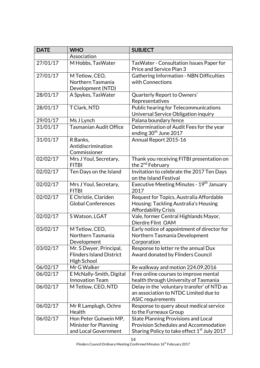| <b>DATE</b> | <b>WHO</b>                                                                | <b>SUBJECT</b>                                                                                                                                        |
|-------------|---------------------------------------------------------------------------|-------------------------------------------------------------------------------------------------------------------------------------------------------|
|             | Association                                                               |                                                                                                                                                       |
| 27/01/17    | M Hobbs, TasWater                                                         | TasWater - Consultation Issues Paper for<br>Price and Service Plan 3                                                                                  |
| 27/01/17    | M Tetlow, CEO,<br>Northern Tasmania<br>Development (NTD)                  | <b>Gathering Information - NBN Difficulties</b><br>with Connections                                                                                   |
| 28/01/17    | A Spykes, TasWater                                                        | Quarterly Report to Owners'<br>Representatives                                                                                                        |
| 28/01/17    | T Clark, NTD                                                              | Public hearing for Telecommunications<br>Universal Service Obligation inquiry                                                                         |
| 29/01/17    | Ms J Lynch                                                                | Palana boundary fence                                                                                                                                 |
| 31/01/17    | <b>Tasmanian Audit Office</b>                                             | Determination of Audit Fees for the year<br>ending 30 <sup>th</sup> June 2017                                                                         |
| 31/01/17    | R Banks,<br>Antidiscrimination<br>Commissioner                            | Annual Report 2015-16                                                                                                                                 |
| 02/02/17    | Mrs J Youl, Secretary,<br><b>FITBI</b>                                    | Thank you receiving FITBI presentation on<br>the 2 <sup>nd</sup> February                                                                             |
| 02/02/17    | Ten Days on the Island                                                    | Invitation to celebrate the 2017 Ten Days<br>on the Island Festival                                                                                   |
| 02/02/17    | Mrs J Youl, Secretary,<br><b>FITBI</b>                                    | Executive Meeting Minutes - 19 <sup>th</sup> January<br>2017                                                                                          |
| 02/02/17    | E Christie, Clariden<br><b>Global Conferences</b>                         | Request for Topics, Australia Affordable<br>Housing: Tackling Australia's Housing<br><b>Affordability Crisis</b>                                      |
| 02/02/17    | S Watson, LGAT                                                            | Vale, former Central Highlands Mayor,<br>Dierdre Flint OAM                                                                                            |
| 03/02/17    | M Tetlow, CEO,<br>Northern Tasmania<br>Development                        | Early notice of appointment of director for<br>Northern Tasmania Development<br>Corporation                                                           |
| 03/02/17    | Mr. S Dwyer, Principal,<br><b>Flinders Island District</b><br>High School | Response to letter re the annual Dux<br>Award donated by Flinders Council                                                                             |
| 06/02/17    | Mr G Walker                                                               | Re walkway and motion 224.09.2016                                                                                                                     |
| 06/02/17    | E McNally-Smith, Digital                                                  | Free online courses to improve mental                                                                                                                 |
|             | <b>Innovation Team</b>                                                    | health through University of Tasmania                                                                                                                 |
| 06/02/17    | M Tetlow, CEO, NTD                                                        | Delay in the 'voluntary transfer' of NTD as<br>an association to NTDC Limited due to<br><b>ASIC requirements</b>                                      |
| 06/02/17    | Mr R Lamplugh, Ochre<br>Health                                            | Response to query about medical service<br>to the Furneaux Group                                                                                      |
| 06/02/17    | Hon Peter Gutwein MP,<br>Minister for Planning<br>and Local Government    | <b>State Planning Provisions and Local</b><br><b>Provision Schedules and Accommodation</b><br>Sharing Policy to take effect 1 <sup>st</sup> July 2017 |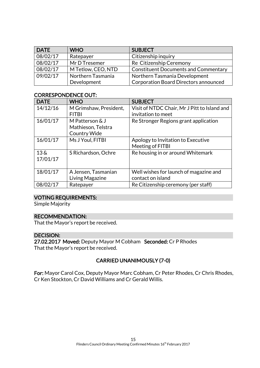| <b>DATE</b> | <b>WHO</b>         | <b>SUBJECT</b>                              |
|-------------|--------------------|---------------------------------------------|
| 08/02/17    | Ratepayer          | Citizenship inquiry                         |
| 08/02/17    | Mr D Tresemer      | Re Citizenship Ceremony                     |
| 08/02/17    | M Tetlow, CEO, NTD | <b>Constituent Documents and Commentary</b> |
| 09/02/17    | Northern Tasmania  | Northern Tasmania Development               |
|             | Development        | Corporation Board Directors announced       |

### CORRESPONDENCE OUT:

| <b>DATE</b>        | <b>WHO</b>             | <b>SUBJECT</b>                               |
|--------------------|------------------------|----------------------------------------------|
| 14/12/16           | M Grimshaw, President, | Visit of NTDC Chair, Mr J Pitt to Island and |
|                    | <b>FITBI</b>           | invitation to meet                           |
| 16/01/17           | M Patterson & J        | Re Stronger Regions grant application        |
|                    | Mathieson, Telstra     |                                              |
|                    | <b>Country Wide</b>    |                                              |
| 16/01/17           | Ms J Youl, FITBI       | Apology to Invitation to Executive           |
|                    |                        | Meeting of FITBI                             |
| $13\,\mathrm{\AA}$ | S Richardson, Ochre    | Re housing in or around Whitemark            |
| 17/01/17           |                        |                                              |
|                    |                        |                                              |
| 18/01/17           | A Jensen, Tasmanian    | Well wishes for launch of magazine and       |
|                    | Living Magazine        | contact on island                            |
| 08/02/17           | Ratepayer              | Re Citizenship ceremony (per staff)          |

### VOTING REQUIREMENTS:

Simple Majority

### RECOMMENDATION:

That the Mayor's report be received.

### DECISION:

27.02.2017 Moved: Deputy Mayor M Cobham Seconded: Cr P Rhodes That the Mayor's report be received.

### CARRIED UNANIMOUSLY (7-0)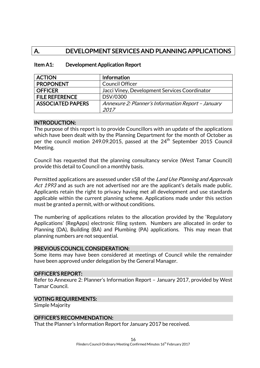# A. DEVELOPMENT SERVICES AND PLANNING APPLICATIONS

| <b>ACTION</b>            | <b>Information</b>                                 |
|--------------------------|----------------------------------------------------|
| <b>PROPONENT</b>         | <b>Council Officer</b>                             |
| <b>OFFICER</b>           | Jacci Viney, Development Services Coordinator      |
| <b>FILE REFERENCE</b>    | DSV/0300                                           |
| <b>ASSOCIATED PAPERS</b> | Annexure 2: Planner's Information Report - January |
|                          | 2017                                               |

### Item A1: Development Application Report

#### INTRODUCTION:

The purpose of this report is to provide Councillors with an update of the applications which have been dealt with by the Planning Department for the month of October as per the council motion 249.09.2015, passed at the 24th September 2015 Council Meeting.

Council has requested that the planning consultancy service (West Tamar Council) provide this detail to Council on a monthly basis.

Permitted applications are assessed under s58 of the Land Use Planning and Approvals Act 1993 and as such are not advertised nor are the applicant's details made public. Applicants retain the right to privacy having met all development and use standards applicable within the current planning scheme. Applications made under this section must be granted a permit, with or without conditions.

The numbering of applications relates to the allocation provided by the 'Regulatory Applications' (RegApps) electronic filing system. Numbers are allocated in order to Planning (DA), Building (BA) and Plumbing (PA) applications. This may mean that planning numbers are not sequential.

#### PREVIOUS COUNCIL CONSIDERATION:

Some items may have been considered at meetings of Council while the remainder have been approved under delegation by the General Manager.

#### OFFICER'S REPORT:

Refer to Annexure 2: Planner's Information Report – January 2017, provided by West Tamar Council.

#### VOTING REQUIREMENTS:

Simple Majority

### OFFICER'S RECOMMENDATION:

That the Planner's Information Report for January 2017 be received.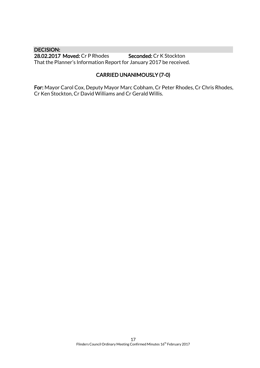DECISION: 28.02.2017 Moved: Cr P Rhodes Seconded: Cr K Stockton That the Planner's Information Report for January 2017 be received.

### CARRIED UNANIMOUSLY (7-0)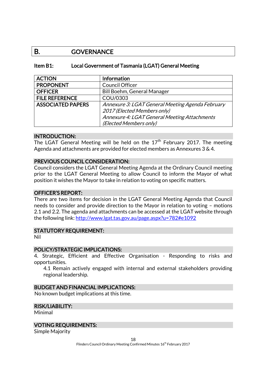### B. GOVERNANCE

### Item B1: Local Government of Tasmania (LGAT) General Meeting

| <b>ACTION</b>            | <b>Information</b>                               |
|--------------------------|--------------------------------------------------|
| <b>PROPONENT</b>         | <b>Council Officer</b>                           |
| <b>OFFICER</b>           | Bill Boehm, General Manager                      |
| <b>FILE REFERENCE</b>    | COU/0303                                         |
| <b>ASSOCIATED PAPERS</b> | Annexure 3: LGAT General Meeting Agenda February |
|                          | 2017 (Elected Members only)                      |
|                          | Annexure 4: LGAT General Meeting Attachments     |
|                          | (Elected Members only)                           |

### INTRODUCTION:

The LGAT General Meeting will be held on the  $17<sup>th</sup>$  February 2017. The meeting Agenda and attachments are provided for elected members as Annexures 3 & 4.

#### PREVIOUS COUNCIL CONSIDERATION:

Council considers the LGAT General Meeting Agenda at the Ordinary Council meeting prior to the LGAT General Meeting to allow Council to inform the Mayor of what position it wishes the Mayor to take in relation to voting on specific matters.

#### OFFICER'S REPORT:

There are two items for decision in the LGAT General Meeting Agenda that Council needs to consider and provide direction to the Mayor in relation to voting – motions 2.1 and 2.2. The agenda and attachments can be accessed at the LGAT website through the following link:<http://www.lgat.tas.gov.au/page.aspx?u=782#e1092>

#### STATUTORY REQUIREMENT:

Nil

### POLICY/STRATEGIC IMPLICATIONS:

4. Strategic, Efficient and Effective Organisation - Responding to risks and opportunities.

4.1 Remain actively engaged with internal and external stakeholders providing regional leadership.

### BUDGET AND FINANCIAL IMPLICATIONS:

No known budget implications at this time.

#### RISK/LIABILITY:

Minimal

### VOTING REQUIREMENTS:

Simple Majority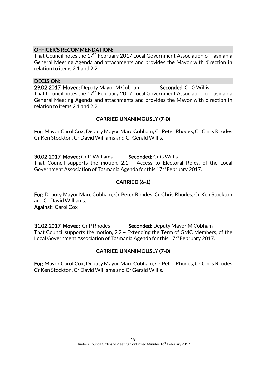### OFFICER'S RECOMMENDATION:

That Council notes the 17<sup>th</sup> February 2017 Local Government Association of Tasmania General Meeting Agenda and attachments and provides the Mayor with direction in relation to items 2.1 and 2.2.

#### DECISION:

29.02.2017 Moved: Deputy Mayor M Cobham Seconded: Cr G Willis That Council notes the 17<sup>th</sup> February 2017 Local Government Association of Tasmania General Meeting Agenda and attachments and provides the Mayor with direction in relation to items 2.1 and 2.2.

### CARRIED UNANIMOUSLY (7-0)

For: Mayor Carol Cox, Deputy Mayor Marc Cobham, Cr Peter Rhodes, Cr Chris Rhodes, Cr Ken Stockton, Cr David Williams and Cr Gerald Willis.

30.02.2017 Moved: Cr D Williams Seconded: Cr G Willis That Council supports the motion, 2.1 – Access to Electoral Roles, of the Local Government Association of Tasmania Agenda for this  $17<sup>th</sup>$  February 2017.

### CARRIED (6-1)

For: Deputy Mayor Marc Cobham, Cr Peter Rhodes, Cr Chris Rhodes, Cr Ken Stockton and Cr David Williams. Against: Carol Cox

**31.02.2017 Moved: Cr P Rhodes Seconded: Deputy Mayor M Cobham** That Council supports the motion, 2.2 – Extending the Term of GMC Members, of the Local Government Association of Tasmania Agenda for this 17<sup>th</sup> February 2017.

### CARRIED UNANIMOUSLY (7-0)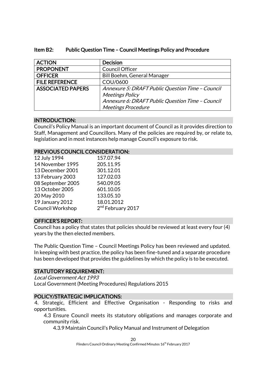| Item B2: | <b>Public Question Time - Council Meetings Policy and Procedure</b> |
|----------|---------------------------------------------------------------------|
|----------|---------------------------------------------------------------------|

| <b>ACTION</b>            | <b>Decision</b>                                  |  |
|--------------------------|--------------------------------------------------|--|
| <b>PROPONENT</b>         | Council Officer                                  |  |
| <b>OFFICER</b>           | Bill Boehm, General Manager                      |  |
| <b>FILE REFERENCE</b>    | COU/0600                                         |  |
| <b>ASSOCIATED PAPERS</b> | Annexure 5: DRAFT Public Question Time - Council |  |
|                          | <b>Meetings Policy</b>                           |  |
|                          | Annexure 6: DRAFT Public Question Time - Council |  |
|                          | <b>Meetings Procedure</b>                        |  |

### INTRODUCTION:

Council's Policy Manual is an important document of Council as it provides direction to Staff, Management and Councillors. Many of the policies are required by, or relate to, legislation and in most instances help manage Council's exposure to risk.

### PREVIOUS COUNCIL CONSIDERATION:

| 12 July 1994      | 157.07.94                     |
|-------------------|-------------------------------|
| 14 November 1995  | 205.11.95                     |
| 13 December 2001  | 301.12.01                     |
| 13 February 2003  | 127.02.03                     |
| 08 September 2005 | 540.09.05                     |
| 13 October 2005   | 601.10.05                     |
| 20 May 2010       | 133.05.10                     |
| 19 January 2012   | 18.01.2012                    |
| Council Workshop  | 2 <sup>nd</sup> February 2017 |
|                   |                               |

### OFFICER'S REPORT:

Council has a policy that states that policies should be reviewed at least every four (4) years by the then elected members.

The Public Question Time – Council Meetings Policy has been reviewed and updated. In keeping with best practice, the policy has been fine-tuned and a separate procedure has been developed that provides the guidelines by which the policy is to be executed.

### STATUTORY REQUIREMENT:

Local Government Act 1993 Local Government (Meeting Procedures) Regulations 2015

### POLICY/STRATEGIC IMPLICATIONS:

4. Strategic, Efficient and Effective Organisation - Responding to risks and opportunities.

4.3 Ensure Council meets its statutory obligations and manages corporate and community risk.

4.3.9 Maintain Council's Policy Manual and Instrument of Delegation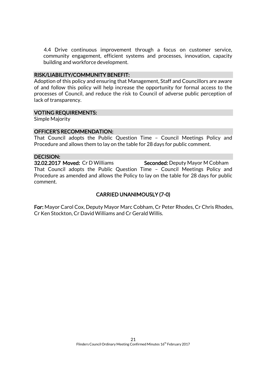4.4 Drive continuous improvement through a focus on customer service, community engagement, efficient systems and processes, innovation, capacity building and workforce development.

#### RISK/LIABILITY/COMMUNITY BENEFIT:

Adoption of this policy and ensuring that Management, Staff and Councillors are aware of and follow this policy will help increase the opportunity for formal access to the processes of Council, and reduce the risk to Council of adverse public perception of lack of transparency.

### VOTING REQUIREMENTS:

Simple Majority

### OFFICER'S RECOMMENDATION:

That Council adopts the Public Question Time – Council Meetings Policy and Procedure and allows them to lay on the table for 28 days for public comment.

### DECISION:

32.02.2017 Moved: Cr D Williams Seconded: Deputy Mayor M Cobham That Council adopts the Public Question Time – Council Meetings Policy and Procedure as amended and allows the Policy to lay on the table for 28 days for public comment.

### CARRIED UNANIMOUSLY (7-0)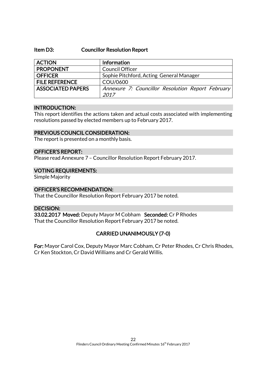#### Item D3: Councillor Resolution Report

| <b>ACTION</b>            | Information                                               |
|--------------------------|-----------------------------------------------------------|
| <b>PROPONENT</b>         | <b>Council Officer</b>                                    |
| <b>OFFICER</b>           | Sophie Pitchford, Acting General Manager                  |
| <b>FILE REFERENCE</b>    | COU/0600                                                  |
| <b>ASSOCIATED PAPERS</b> | Annexure 7: Councillor Resolution Report February<br>2017 |

#### INTRODUCTION:

This report identifies the actions taken and actual costs associated with implementing resolutions passed by elected members up to February 2017.

### PREVIOUS COUNCIL CONSIDERATION:

The report is presented on a monthly basis.

### OFFICER'S REPORT:

Please read Annexure 7 – Councillor Resolution Report February 2017.

#### VOTING REQUIREMENTS:

Simple Majority

### OFFICER'S RECOMMENDATION:

That the Councillor Resolution Report February 2017 be noted.

### DECISION:

33.02.2017 Moved: Deputy Mayor M Cobham Seconded: Cr P Rhodes That the Councillor Resolution Report February 2017 be noted.

### CARRIED UNANIMOUSLY (7-0)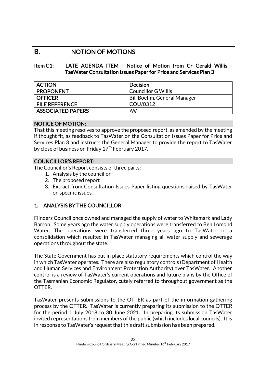## B. NOTION OF MOTIONS

### Item C1: LATE AGENDA ITEM - Notice of Motion from Cr Gerald Willis - TasWater Consultation Issues Paper for Price and Services Plan 3

| <b>ACTION</b>            | <b>Decision</b>             |
|--------------------------|-----------------------------|
| <b>PROPONENT</b>         | <b>Councillor G Willis</b>  |
| <b>OFFICER</b>           | Bill Boehm, General Manager |
| <b>FILE REFERENCE</b>    | COU/0312                    |
| <b>ASSOCIATED PAPERS</b> | Nil                         |

### NOTICE OF MOTION:

That this meeting resolves to approve the proposed report, as amended by the meeting if thought fit, as feedback to TasWater on the Consultation Issues Paper for Price and Services Plan 3 and instructs the General Manager to provide the report to TasWater by close of business on Friday  $17<sup>th</sup>$  February 2017.

### COUNCILLOR'S REPORT:

The Councillor's Report consists of three parts:

- 1. Analysis by the councillor
- 2. The proposed report
- 3. Extract from Consultation Issues Paper listing questions raised by TasWater on specific issues.

### 1. ANALYSIS BY THE COUNCILLOR

Flinders Council once owned and managed the supply of water to Whitemark and Lady Barron. Some years ago the water supply operations were transferred to Ben Lomond Water. The operations were transferred three years ago to TasWater in a consolidation which resulted in TasWater managing all water supply and sewerage operations throughout the state.

The State Government has put in place statutory requirements which control the way in which TasWater operates. There are also regulatory controls (Department of Health and Human Services and Environment Protection Authority) over TasWater. Another control is a review of TasWater's current operations and future plans by the Office of the Tasmanian Economic Regulator, cutely referred to throughout government as the OTTER.

TasWater presents submissions to the OTTER as part of the information gathering process by the OTTER. TasWater is currently preparing its submission to the OTTER for the period 1 July 2018 to 30 June 2021. In preparing its submission TasWater invited representations from members of the public (which includes local councils). It is in response to TasWater's request that this draft submission has been prepared.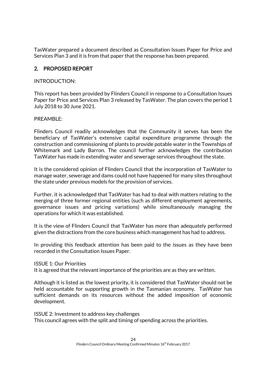TasWater prepared a document described as Consultation Issues Paper for Price and Services Plan 3 and it is from that paper that the response has been prepared.

### 2. PROPOSED REPORT

### INTRODUCTION:

This report has been provided by Flinders Council in response to a Consultation Issues Paper for Price and Services Plan 3 released by TasWater. The plan covers the period 1 July 2018 to 30 June 2021.

### PREAMBLE:

Flinders Council readily acknowledges that the Community it serves has been the beneficiary of TasWater's extensive capital expenditure programme through the construction and commissioning of plants to provide potable water in the Townships of Whitemark and Lady Barron. The council further acknowledges the contribution TasWater has made in extending water and sewerage services throughout the state.

It is the considered opinion of Flinders Council that the incorporation of TasWater to manage water, sewerage and dams could not have happened for many sites throughout the state under previous models for the provision of services.

Further, it is acknowledged that TasWater has had to deal with matters relating to the merging of three former regional entities (such as different employment agreements, governance issues and pricing variations) while simultaneously managing the operations for which it was established.

It is the view of Flinders Council that TasWater has more than adequately performed given the distractions from the core business which management has had to address.

In providing this feedback attention has been paid to the issues as they have been recorded in the Consultation Issues Paper.

### ISSUE 1: Our Priorities

It is agreed that the relevant importance of the priorities are as they are written.

Although it is listed as the lowest priority, it is considered that TasWater should not be held accountable for supporting growth in the Tasmanian economy. TasWater has sufficient demands on its resources without the added imposition of economic development.

ISSUE 2: Investment to address key challenges This council agrees with the split and timing of spending across the priorities.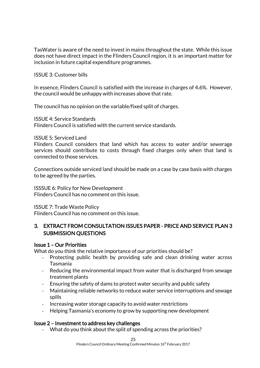TasWater is aware of the need to invest in mains throughout the state. While this issue does not have direct impact in the Flinders Council region, it is an important matter for inclusion in future capital expenditure programmes.

ISSUE 3: Customer bills

In essence, Flinders Council is satisfied with the increase in charges of 4.6%. However, the council would be unhappy with increases above that rate.

The council has no opinion on the variable/fixed split of charges.

ISSUE 4: Service Standards Flinders Council is satisfied with the current service standards.

ISSUE 5: Serviced Land

Flinders Council considers that land which has access to water and/or sewerage services should contribute to costs through fixed charges only when that land is connected to those services.

Connections outside serviced land should be made on a case by case basis with charges to be agreed by the parties.

ISSSUE 6: Policy for New Development Flinders Council has no comment on this issue.

ISSUE 7: Trade Waste Policy Flinders Council has no comment on this issue.

### 3. EXTRACT FROM CONSULTATION ISSUES PAPER - PRICE AND SERVICE PLAN 3 SUBMISSION QUESTIONS

### Issue 1 – Our Priorities

What do you think the relative importance of our priorities should be?

- Protecting public health by providing safe and clean drinking water across Tasmania
- Reducing the environmental impact from water that is discharged from sewage treatment plants
- Ensuring the safety of dams to protect water security and public safety
- Maintaining reliable networks to reduce water service interruptions and sewage spills
- Increasing water storage capacity to avoid water restrictions
- Helping Tasmania's economy to grow by supporting new development

### Issue 2 – Investment to address key challenges

- What do you think about the split of spending across the priorities?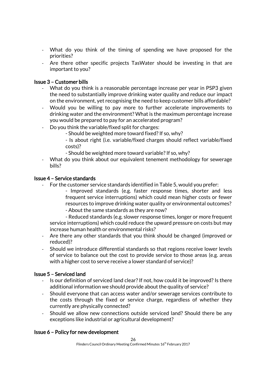- What do you think of the timing of spending we have proposed for the priorities?
- Are there other specific projects TasWater should be investing in that are important to you?

### Issue 3 – Customer bills

- What do you think is a reasonable percentage increase per year in PSP3 given the need to substantially improve drinking water quality and reduce our impact on the environment, yet recognising the need to keep customer bills affordable?
- Would you be willing to pay more to further accelerate improvements to drinking water and the environment? What is the maximum percentage increase you would be prepared to pay for an accelerated program?
- Do you think the variable/fixed split for charges:
	- Should be weighted more toward fixed? If so, why?
	- Is about right (i.e. variable/fixed charges should reflect variable/fixed costs)?
	- Should be weighted more toward variable? If so, why?
- What do you think about our equivalent tenement methodology for sewerage bills?

### Issue 4 – Service standards

- For the customer service standards identified in Table 5, would you prefer:
	- Improved standards (e.g. faster response times, shorter and less frequent service interruptions) which could mean higher costs or fewer resources to improve drinking water quality or environmental outcomes?
	- About the same standards as they are now?

- Reduced standards (e.g. slower response times, longer or more frequent service interruptions) which could reduce the upward pressure on costs but may increase human health or environmental risks?

- Are there any other standards that you think should be changed (improved or reduced)?
- Should we introduce differential standards so that regions receive lower levels of service to balance out the cost to provide service to those areas (e.g. areas with a higher cost to serve receive a lower standard of service)?

### Issue 5 – Serviced land

- Is our definition of serviced land clear? If not, how could it be improved? Is there additional information we should provide about the quality of service?
- Should everyone that can access water and/or sewerage services contribute to the costs through the fixed or service charge, regardless of whether they currently are physically connected?
- Should we allow new connections outside serviced land? Should there be any exceptions like industrial or agricultural development?

### Issue 6 – Policy for new development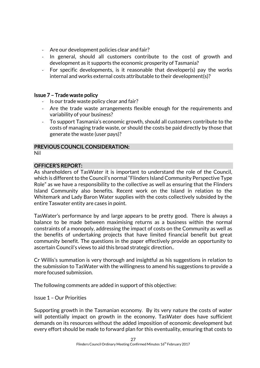- Are our development policies clear and fair?
- In general, should all customers contribute to the cost of growth and development as it supports the economic prosperity of Tasmania?
- For specific developments, is it reasonable that developer(s) pay the works internal and works external costs attributable to their development(s)?

### Issue 7 – Trade waste policy

- Is our trade waste policy clear and fair?
- Are the trade waste arrangements flexible enough for the requirements and variability of your business?
- To support Tasmania's economic growth, should all customers contribute to the costs of managing trade waste, or should the costs be paid directly by those that generate the waste (user pays)?

# PREVIOUS COUNCIL CONSIDERATION:

Nil

### OFFICER'S REPORT:

As shareholders of TasWater it is important to understand the role of the Council, which is different to the Council's normal "Flinders Island Community Perspective Type Role" as we have a responsibility to the collective as well as ensuring that the Flinders Island Community also benefits. Recent work on the Island in relation to the Whitemark and Lady Baron Water supplies with the costs collectively subsided by the entire Taswater entity are cases in point.

TasWater's performance by and large appears to be pretty good. There is always a balance to be made between maximising returns as a business within the normal constraints of a monopoly, addressing the impact of costs on the Community as well as the benefits of undertaking projects that have limited financial benefit but great community benefit. The questions in the paper effectively provide an opportunity to ascertain Council's views to aid this broad strategic direction..

Cr Willis's summation is very thorough and insightful as his suggestions in relation to the submission to TasWater with the willingness to amend his suggestions to provide a more focused submission.

The following comments are added in support of this objective:

Issue 1 – Our Priorities

Supporting growth in the Tasmanian economy. By its very nature the costs of water will potentially impact on growth in the economy. Tas Water does have sufficient demands on its resources without the added imposition of economic development but every effort should be made to forward plan for this eventuality, ensuring that costs to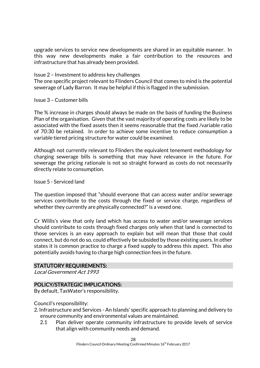upgrade services to service new developments are shared in an equitable manner. In this way new developments make a fair contribution to the resources and infrastructure that has already been provided.

Issue 2 – Investment to address key challenges

The one specific project relevant to Flinders Council that comes to mind is the potential sewerage of Lady Barron. It may be helpful if this is flagged in the submission.

Issue 3 – Customer bills

The % increase in charges should always be made on the basis of funding the Business Plan of the organisation. Given that the vast majority of operating costs are likely to be associated with the fixed assets then it seems reasonable that the fixed /variable ratio of 70:30 be retained. In order to achieve some incentive to reduce consumption a variable tiered pricing structure for water could be examined.

Although not currently relevant to Flinders the equivalent tenement methodology for charging sewerage bills is something that may have relevance in the future. For sewerage the pricing rationale is not so straight forward as costs do not necessarily directly relate to consumption.

Issue 5 - Serviced land

The question imposed that "should everyone that can access water and/or sewerage services contribute to the costs through the fixed or service charge, regardless of whether they currently are physically connected?" is a vexed one.

Cr Willis's view that only land which has access to water and/or sewerage services should contribute to costs through fixed charges only when that land is connected to those services is an easy approach to explain but will mean that those that could connect, but do not do so, could effectively be subsided by those existing users. In other states it is common practice to charge a fixed supply to address this aspect. This also potentially avoids having to charge high connection fees in the future.

### STATUTORY REQUIREMENTS:

Local Government Act 1993

### POLICY/STRATEGIC IMPLICATIONS:

By default, TasWater's responsibility.

Council's responsibility:

- 2. Infrastructure and Services An Islands' specific approach to planning and delivery to ensure community and environmental values are maintained.
	- 2.1 Plan deliver operate community infrastructure to provide levels of service that align with community needs and demand.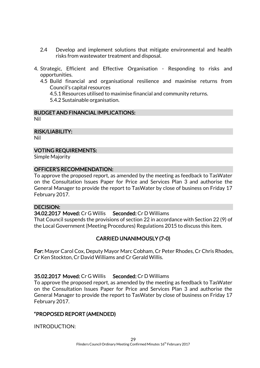- 2.4 Develop and implement solutions that mitigate environmental and health risks from wastewater treatment and disposal.
- 4. Strategic, Efficient and Effective Organisation Responding to risks and opportunities.
	- 4.5 Build financial and organisational resilience and maximise returns from Council's capital resources

4.5.1 Resources utilised to maximise financial and community returns.

5.4.2 Sustainable organisation.

### BUDGET AND FINANCIAL IMPLICATIONS:

Nil

RISK/LIABILITY:

Nil

### VOTING REQUIREMENTS:

Simple Majority

### OFFICER'S RECOMMENDATION:

To approve the proposed report, as amended by the meeting as feedback to TasWater on the Consultation Issues Paper for Price and Services Plan 3 and authorise the General Manager to provide the report to TasWater by close of business on Friday 17 February 2017.

### DECISION:

34.02.2017 Moved: Cr G Willis Seconded: Cr D Williams

That Council suspends the provisions of section 22 in accordance with Section 22 (9) of the Local Government (Meeting Procedures) Regulations 2015 to discuss this item.

### CARRIED UNANIMOUSLY (7-0)

For: Mayor Carol Cox, Deputy Mayor Marc Cobham, Cr Peter Rhodes, Cr Chris Rhodes, Cr Ken Stockton, Cr David Williams and Cr Gerald Willis.

### 35.02.2017 Moved: Cr G Willis Seconded: Cr D Williams

To approve the proposed report, as amended by the meeting as feedback to TasWater on the Consultation Issues Paper for Price and Services Plan 3 and authorise the General Manager to provide the report to TasWater by close of business on Friday 17 February 2017.

### "PROPOSED REPORT (AMENDED)

INTRODUCTION: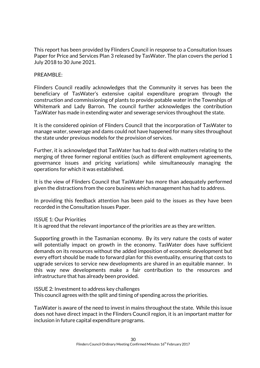This report has been provided by Flinders Council in response to a Consultation Issues Paper for Price and Services Plan 3 released by TasWater. The plan covers the period 1 July 2018 to 30 June 2021.

### PREAMBLE:

Flinders Council readily acknowledges that the Community it serves has been the beneficiary of TasWater's extensive capital expenditure program through the construction and commissioning of plants to provide potable water in the Townships of Whitemark and Lady Barron. The council further acknowledges the contribution TasWater has made in extending water and sewerage services throughout the state.

It is the considered opinion of Flinders Council that the incorporation of TasWater to manage water, sewerage and dams could not have happened for many sites throughout the state under previous models for the provision of services.

Further, it is acknowledged that TasWater has had to deal with matters relating to the merging of three former regional entities (such as different employment agreements, governance issues and pricing variations) while simultaneously managing the operations for which it was established.

It is the view of Flinders Council that TasWater has more than adequately performed given the distractions from the core business which management has had to address.

In providing this feedback attention has been paid to the issues as they have been recorded in the Consultation Issues Paper.

### ISSUE 1: Our Priorities

It is agreed that the relevant importance of the priorities are as they are written.

Supporting growth in the Tasmanian economy. By its very nature the costs of water will potentially impact on growth in the economy. TasWater does have sufficient demands on its resources without the added imposition of economic development but every effort should be made to forward plan for this eventuality, ensuring that costs to upgrade services to service new developments are shared in an equitable manner. In this way new developments make a fair contribution to the resources and infrastructure that has already been provided.

ISSUE 2: Investment to address key challenges This council agrees with the split and timing of spending across the priorities.

TasWater is aware of the need to invest in mains throughout the state. While this issue does not have direct impact in the Flinders Council region, it is an important matter for inclusion in future capital expenditure programs.